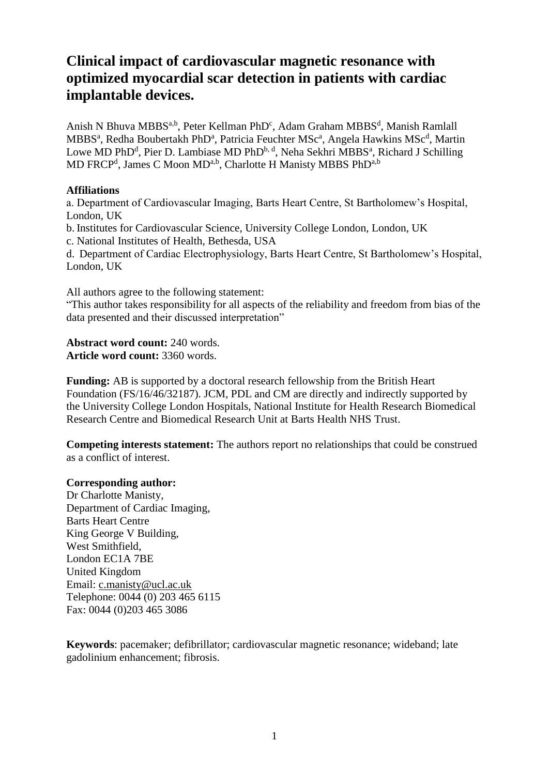# **Clinical impact of cardiovascular magnetic resonance with optimized myocardial scar detection in patients with cardiac implantable devices.**

Anish N Bhuva MBBS<sup>a,b</sup>, Peter Kellman PhD<sup>c</sup>, Adam Graham MBBS<sup>d</sup>, Manish Ramlall MBBS<sup>a</sup>, Redha Boubertakh PhD<sup>a</sup>, Patricia Feuchter MSc<sup>a</sup>, Angela Hawkins MSc<sup>d</sup>, Martin Lowe MD PhD<sup>d</sup>, Pier D. Lambiase MD PhD<sup>b, d</sup>, Neha Sekhri MBBS<sup>a</sup>, Richard J Schilling MD FRCP<sup>d</sup>, James C Moon MD<sup>a,b</sup>, Charlotte H Manisty MBBS PhD<sup>a,b</sup>

# **Affiliations**

a. Department of Cardiovascular Imaging, Barts Heart Centre, St Bartholomew's Hospital, London, UK

b. Institutes for Cardiovascular Science, University College London, London, UK

c. National Institutes of Health, Bethesda, USA

d. Department of Cardiac Electrophysiology, Barts Heart Centre, St Bartholomew's Hospital, London, UK

All authors agree to the following statement:

"This author takes responsibility for all aspects of the reliability and freedom from bias of the data presented and their discussed interpretation"

**Abstract word count:** 240 words. **Article word count:** 3360 words.

**Funding:** AB is supported by a doctoral research fellowship from the British Heart Foundation (FS/16/46/32187). JCM, PDL and CM are directly and indirectly supported by the University College London Hospitals, National Institute for Health Research Biomedical Research Centre and Biomedical Research Unit at Barts Health NHS Trust.

**Competing interests statement:** The authors report no relationships that could be construed as a conflict of interest.

# **Corresponding author:**

Dr Charlotte Manisty, Department of Cardiac Imaging, Barts Heart Centre King George V Building, West Smithfield, London EC1A 7BE United Kingdom Email: [c.manisty@ucl.ac.uk](mailto:Anish.bhuva@bartshealth.nhs.uk) Telephone: 0044 (0) 203 465 6115 Fax: 0044 (0)203 465 3086

**Keywords**: pacemaker; defibrillator; cardiovascular magnetic resonance; wideband; late gadolinium enhancement; fibrosis.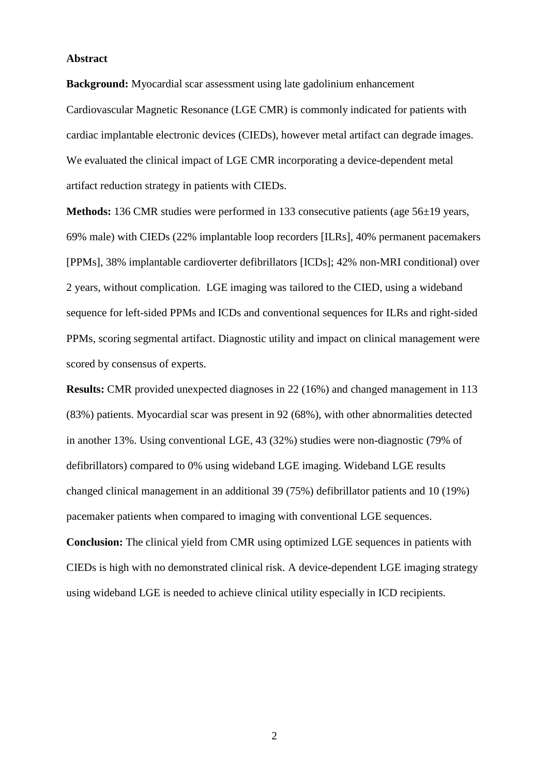### **Abstract**

**Background:** Myocardial scar assessment using late gadolinium enhancement Cardiovascular Magnetic Resonance (LGE CMR) is commonly indicated for patients with cardiac implantable electronic devices (CIEDs), however metal artifact can degrade images. We evaluated the clinical impact of LGE CMR incorporating a device-dependent metal artifact reduction strategy in patients with CIEDs.

**Methods:** 136 CMR studies were performed in 133 consecutive patients (age 56±19 years, 69% male) with CIEDs (22% implantable loop recorders [ILRs], 40% permanent pacemakers [PPMs], 38% implantable cardioverter defibrillators [ICDs]; 42% non-MRI conditional) over 2 years, without complication. LGE imaging was tailored to the CIED, using a wideband sequence for left-sided PPMs and ICDs and conventional sequences for ILRs and right-sided PPMs, scoring segmental artifact. Diagnostic utility and impact on clinical management were scored by consensus of experts.

**Results:** CMR provided unexpected diagnoses in 22 (16%) and changed management in 113 (83%) patients. Myocardial scar was present in 92 (68%), with other abnormalities detected in another 13%. Using conventional LGE, 43 (32%) studies were non-diagnostic (79% of defibrillators) compared to 0% using wideband LGE imaging. Wideband LGE results changed clinical management in an additional 39 (75%) defibrillator patients and 10 (19%) pacemaker patients when compared to imaging with conventional LGE sequences.

**Conclusion:** The clinical yield from CMR using optimized LGE sequences in patients with CIEDs is high with no demonstrated clinical risk. A device-dependent LGE imaging strategy using wideband LGE is needed to achieve clinical utility especially in ICD recipients.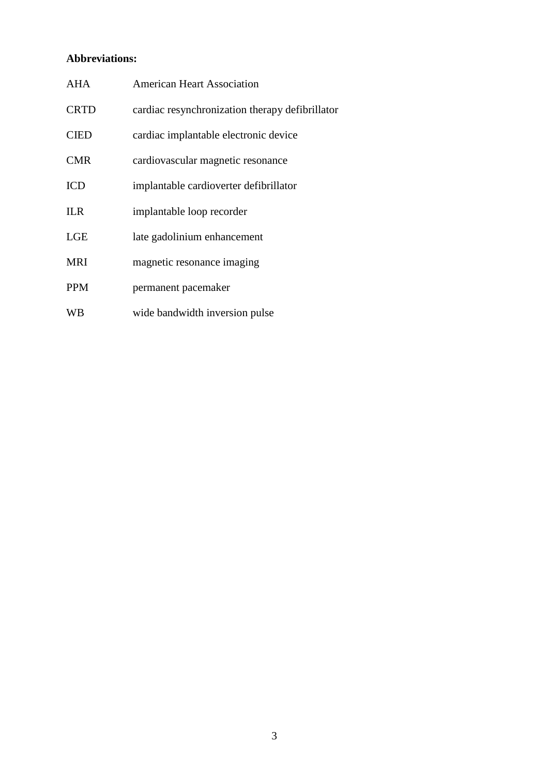# **Abbreviations:**

| <b>AHA</b>  | <b>American Heart Association</b>               |
|-------------|-------------------------------------------------|
| <b>CRTD</b> | cardiac resynchronization therapy defibrillator |
| <b>CIED</b> | cardiac implantable electronic device           |
| <b>CMR</b>  | cardiovascular magnetic resonance               |
| <b>ICD</b>  | implantable cardioverter defibrillator          |
| <b>ILR</b>  | implantable loop recorder                       |
| <b>LGE</b>  | late gadolinium enhancement                     |
| <b>MRI</b>  | magnetic resonance imaging                      |
| <b>PPM</b>  | permanent pacemaker                             |
| <b>WB</b>   | wide bandwidth inversion pulse                  |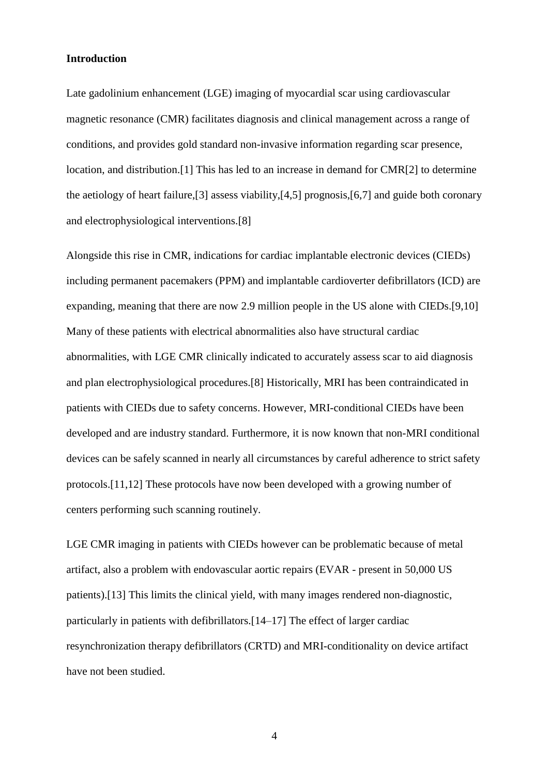# **Introduction**

Late gadolinium enhancement (LGE) imaging of myocardial scar using cardiovascular magnetic resonance (CMR) facilitates diagnosis and clinical management across a range of conditions, and provides gold standard non-invasive information regarding scar presence, location, and distribution.[1] This has led to an increase in demand for CMR[2] to determine the aetiology of heart failure,[3] assess viability,[4,5] prognosis,[6,7] and guide both coronary and electrophysiological interventions.[8]

Alongside this rise in CMR, indications for cardiac implantable electronic devices (CIEDs) including permanent pacemakers (PPM) and implantable cardioverter defibrillators (ICD) are expanding, meaning that there are now 2.9 million people in the US alone with CIEDs.[9,10] Many of these patients with electrical abnormalities also have structural cardiac abnormalities, with LGE CMR clinically indicated to accurately assess scar to aid diagnosis and plan electrophysiological procedures.[8] Historically, MRI has been contraindicated in patients with CIEDs due to safety concerns. However, MRI-conditional CIEDs have been developed and are industry standard. Furthermore, it is now known that non-MRI conditional devices can be safely scanned in nearly all circumstances by careful adherence to strict safety protocols.[11,12] These protocols have now been developed with a growing number of centers performing such scanning routinely.

LGE CMR imaging in patients with CIEDs however can be problematic because of metal artifact, also a problem with endovascular aortic repairs (EVAR - present in 50,000 US patients).[13] This limits the clinical yield, with many images rendered non-diagnostic, particularly in patients with defibrillators.[14–17] The effect of larger cardiac resynchronization therapy defibrillators (CRTD) and MRI-conditionality on device artifact have not been studied.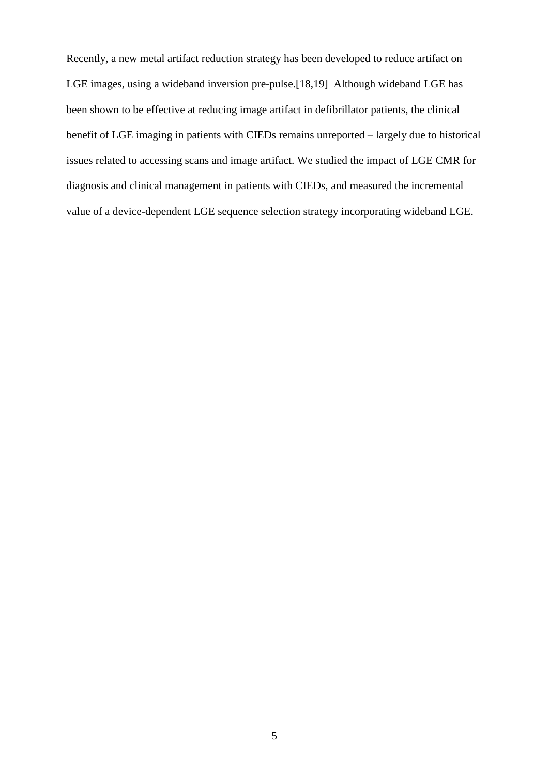Recently, a new metal artifact reduction strategy has been developed to reduce artifact on LGE images, using a wideband inversion pre-pulse.[18,19] Although wideband LGE has been shown to be effective at reducing image artifact in defibrillator patients, the clinical benefit of LGE imaging in patients with CIEDs remains unreported – largely due to historical issues related to accessing scans and image artifact. We studied the impact of LGE CMR for diagnosis and clinical management in patients with CIEDs, and measured the incremental value of a device-dependent LGE sequence selection strategy incorporating wideband LGE.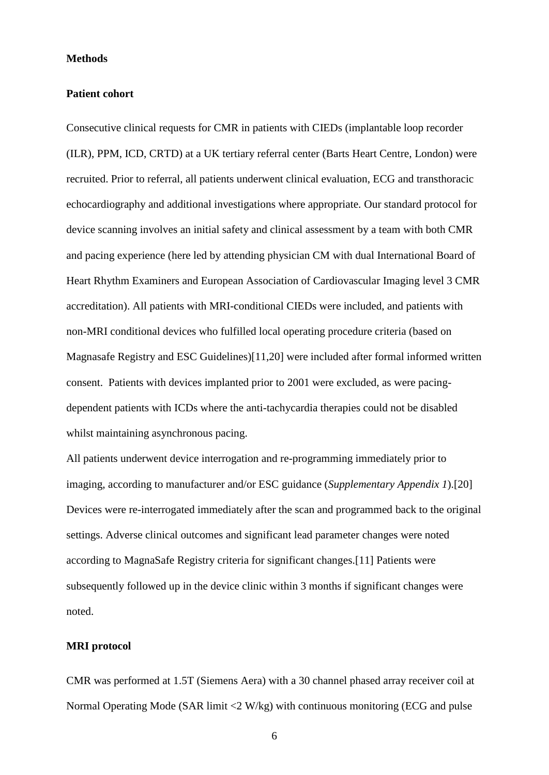#### **Methods**

#### **Patient cohort**

Consecutive clinical requests for CMR in patients with CIEDs (implantable loop recorder (ILR), PPM, ICD, CRTD) at a UK tertiary referral center (Barts Heart Centre, London) were recruited. Prior to referral, all patients underwent clinical evaluation, ECG and transthoracic echocardiography and additional investigations where appropriate. Our standard protocol for device scanning involves an initial safety and clinical assessment by a team with both CMR and pacing experience (here led by attending physician CM with dual International Board of Heart Rhythm Examiners and European Association of Cardiovascular Imaging level 3 CMR accreditation). All patients with MRI-conditional CIEDs were included, and patients with non-MRI conditional devices who fulfilled local operating procedure criteria (based on Magnasafe Registry and ESC Guidelines)[11,20] were included after formal informed written consent. Patients with devices implanted prior to 2001 were excluded, as were pacingdependent patients with ICDs where the anti-tachycardia therapies could not be disabled whilst maintaining asynchronous pacing.

All patients underwent device interrogation and re-programming immediately prior to imaging, according to manufacturer and/or ESC guidance (*Supplementary Appendix 1*).[20] Devices were re-interrogated immediately after the scan and programmed back to the original settings. Adverse clinical outcomes and significant lead parameter changes were noted according to MagnaSafe Registry criteria for significant changes.[11] Patients were subsequently followed up in the device clinic within 3 months if significant changes were noted.

# **MRI protocol**

CMR was performed at 1.5T (Siemens Aera) with a 30 channel phased array receiver coil at Normal Operating Mode (SAR limit <2 W/kg) with continuous monitoring (ECG and pulse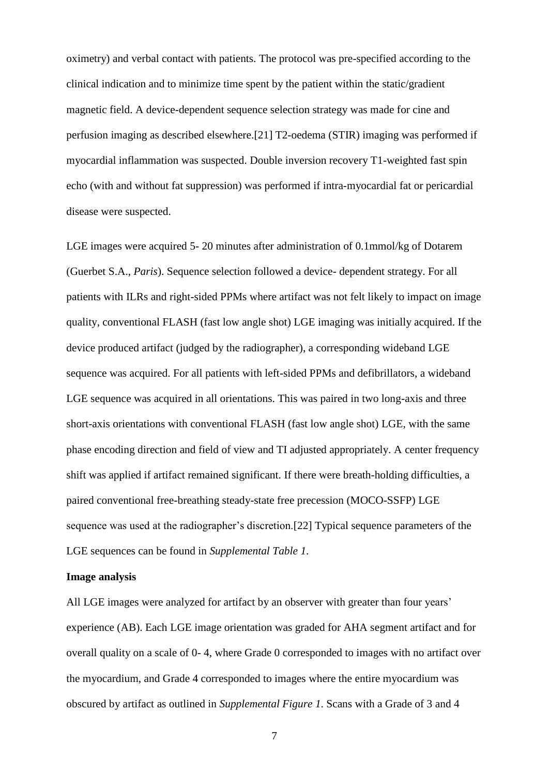oximetry) and verbal contact with patients. The protocol was pre-specified according to the clinical indication and to minimize time spent by the patient within the static/gradient magnetic field. A device-dependent sequence selection strategy was made for cine and perfusion imaging as described elsewhere.[21] T2-oedema (STIR) imaging was performed if myocardial inflammation was suspected. Double inversion recovery T1-weighted fast spin echo (with and without fat suppression) was performed if intra-myocardial fat or pericardial disease were suspected.

LGE images were acquired 5- 20 minutes after administration of 0.1mmol/kg of Dotarem (Guerbet S.A., *Paris*). Sequence selection followed a device- dependent strategy. For all patients with ILRs and right-sided PPMs where artifact was not felt likely to impact on image quality, conventional FLASH (fast low angle shot) LGE imaging was initially acquired. If the device produced artifact (judged by the radiographer), a corresponding wideband LGE sequence was acquired. For all patients with left-sided PPMs and defibrillators, a wideband LGE sequence was acquired in all orientations. This was paired in two long-axis and three short-axis orientations with conventional FLASH (fast low angle shot) LGE, with the same phase encoding direction and field of view and TI adjusted appropriately. A center frequency shift was applied if artifact remained significant. If there were breath-holding difficulties, a paired conventional free-breathing steady-state free precession (MOCO-SSFP) LGE sequence was used at the radiographer's discretion.[22] Typical sequence parameters of the LGE sequences can be found in *Supplemental Table 1*.

#### **Image analysis**

All LGE images were analyzed for artifact by an observer with greater than four years' experience (AB). Each LGE image orientation was graded for AHA segment artifact and for overall quality on a scale of 0- 4, where Grade 0 corresponded to images with no artifact over the myocardium, and Grade 4 corresponded to images where the entire myocardium was obscured by artifact as outlined in *Supplemental Figure 1*. Scans with a Grade of 3 and 4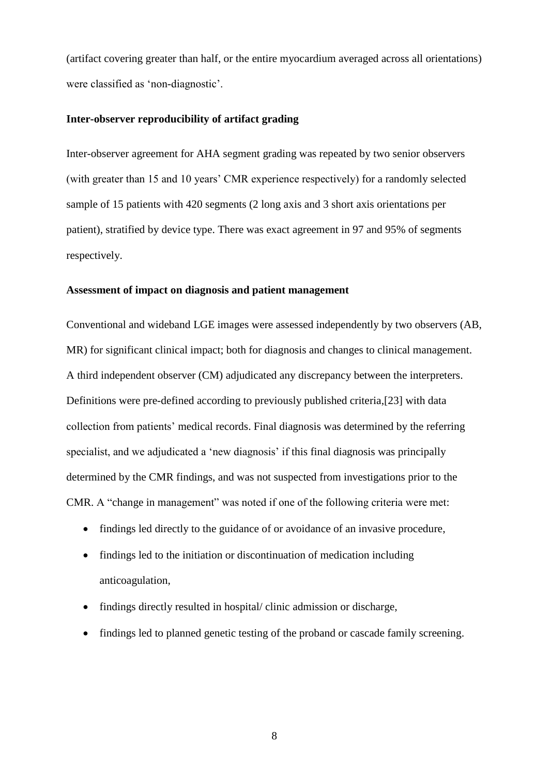(artifact covering greater than half, or the entire myocardium averaged across all orientations) were classified as 'non-diagnostic'.

# **Inter-observer reproducibility of artifact grading**

Inter-observer agreement for AHA segment grading was repeated by two senior observers (with greater than 15 and 10 years' CMR experience respectively) for a randomly selected sample of 15 patients with 420 segments (2 long axis and 3 short axis orientations per patient), stratified by device type. There was exact agreement in 97 and 95% of segments respectively.

#### **Assessment of impact on diagnosis and patient management**

Conventional and wideband LGE images were assessed independently by two observers (AB, MR) for significant clinical impact; both for diagnosis and changes to clinical management. A third independent observer (CM) adjudicated any discrepancy between the interpreters. Definitions were pre-defined according to previously published criteria,[23] with data collection from patients' medical records. Final diagnosis was determined by the referring specialist, and we adjudicated a 'new diagnosis' if this final diagnosis was principally determined by the CMR findings, and was not suspected from investigations prior to the CMR. A "change in management" was noted if one of the following criteria were met:

- findings led directly to the guidance of or avoidance of an invasive procedure,
- findings led to the initiation or discontinuation of medication including anticoagulation,
- findings directly resulted in hospital/ clinic admission or discharge,
- findings led to planned genetic testing of the proband or cascade family screening.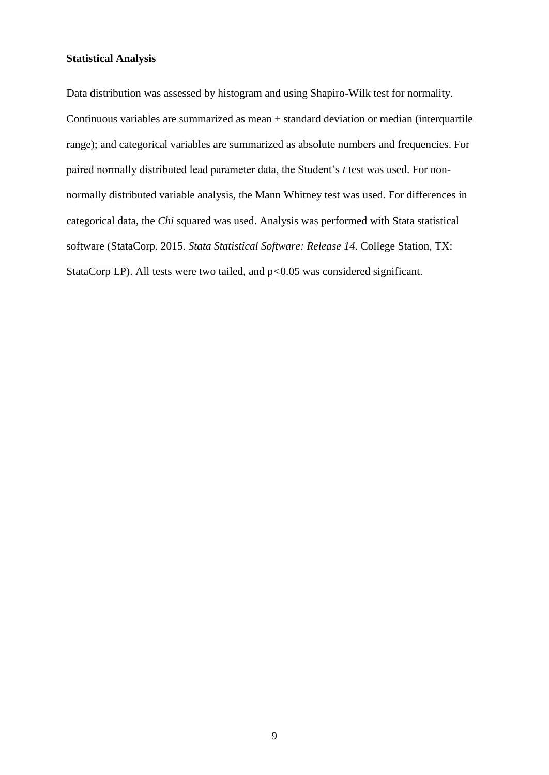# **Statistical Analysis**

Data distribution was assessed by histogram and using Shapiro-Wilk test for normality. Continuous variables are summarized as mean  $\pm$  standard deviation or median (interquartile range); and categorical variables are summarized as absolute numbers and frequencies. For paired normally distributed lead parameter data, the Student's *t* test was used. For nonnormally distributed variable analysis, the Mann Whitney test was used. For differences in categorical data, the *Chi* squared was used. Analysis was performed with Stata statistical software (StataCorp. 2015. *Stata Statistical Software: Release 14*. College Station, TX: StataCorp LP). All tests were two tailed, and p*<*0.05 was considered significant.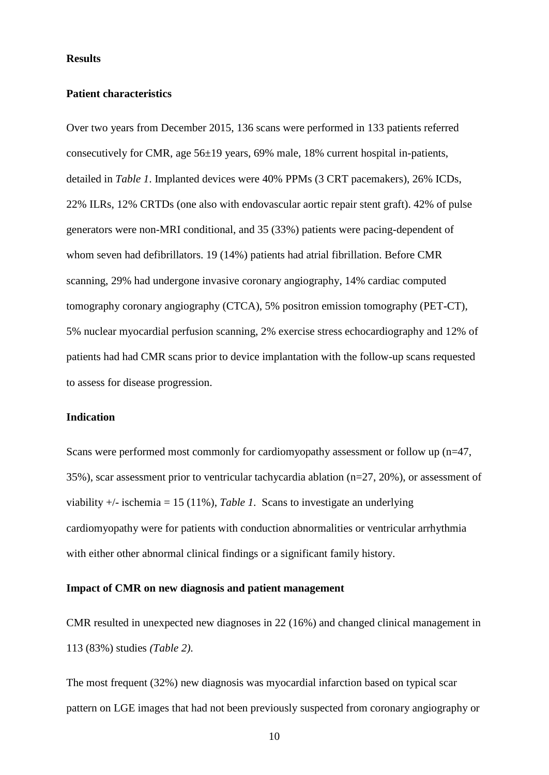#### **Results**

#### **Patient characteristics**

Over two years from December 2015, 136 scans were performed in 133 patients referred consecutively for CMR, age 56±19 years, 69% male, 18% current hospital in-patients, detailed in *Table 1*. Implanted devices were 40% PPMs (3 CRT pacemakers), 26% ICDs, 22% ILRs, 12% CRTDs (one also with endovascular aortic repair stent graft). 42% of pulse generators were non-MRI conditional, and 35 (33%) patients were pacing-dependent of whom seven had defibrillators. 19 (14%) patients had atrial fibrillation. Before CMR scanning, 29% had undergone invasive coronary angiography, 14% cardiac computed tomography coronary angiography (CTCA), 5% positron emission tomography (PET-CT), 5% nuclear myocardial perfusion scanning, 2% exercise stress echocardiography and 12% of patients had had CMR scans prior to device implantation with the follow-up scans requested to assess for disease progression.

### **Indication**

Scans were performed most commonly for cardiomyopathy assessment or follow up (n=47, 35%), scar assessment prior to ventricular tachycardia ablation (n=27, 20%), or assessment of viability +/- ischemia = 15 (11%), *Table 1*. Scans to investigate an underlying cardiomyopathy were for patients with conduction abnormalities or ventricular arrhythmia with either other abnormal clinical findings or a significant family history.

# **Impact of CMR on new diagnosis and patient management**

CMR resulted in unexpected new diagnoses in 22 (16%) and changed clinical management in 113 (83%) studies *(Table 2)*.

The most frequent (32%) new diagnosis was myocardial infarction based on typical scar pattern on LGE images that had not been previously suspected from coronary angiography or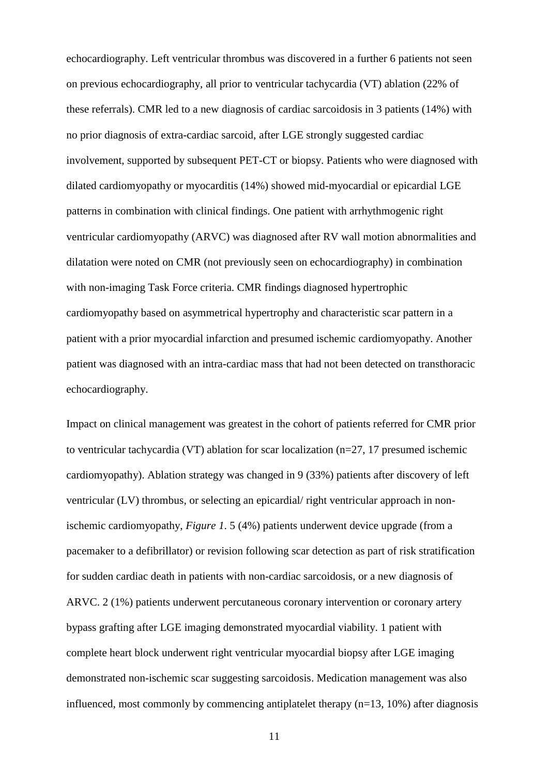echocardiography. Left ventricular thrombus was discovered in a further 6 patients not seen on previous echocardiography, all prior to ventricular tachycardia (VT) ablation (22% of these referrals). CMR led to a new diagnosis of cardiac sarcoidosis in 3 patients (14%) with no prior diagnosis of extra-cardiac sarcoid, after LGE strongly suggested cardiac involvement, supported by subsequent PET-CT or biopsy. Patients who were diagnosed with dilated cardiomyopathy or myocarditis (14%) showed mid-myocardial or epicardial LGE patterns in combination with clinical findings. One patient with arrhythmogenic right ventricular cardiomyopathy (ARVC) was diagnosed after RV wall motion abnormalities and dilatation were noted on CMR (not previously seen on echocardiography) in combination with non-imaging Task Force criteria. CMR findings diagnosed hypertrophic cardiomyopathy based on asymmetrical hypertrophy and characteristic scar pattern in a patient with a prior myocardial infarction and presumed ischemic cardiomyopathy. Another patient was diagnosed with an intra-cardiac mass that had not been detected on transthoracic echocardiography.

Impact on clinical management was greatest in the cohort of patients referred for CMR prior to ventricular tachycardia (VT) ablation for scar localization (n=27, 17 presumed ischemic cardiomyopathy). Ablation strategy was changed in 9 (33%) patients after discovery of left ventricular (LV) thrombus, or selecting an epicardial/ right ventricular approach in nonischemic cardiomyopathy, *Figure 1*. 5 (4%) patients underwent device upgrade (from a pacemaker to a defibrillator) or revision following scar detection as part of risk stratification for sudden cardiac death in patients with non-cardiac sarcoidosis, or a new diagnosis of ARVC. 2 (1%) patients underwent percutaneous coronary intervention or coronary artery bypass grafting after LGE imaging demonstrated myocardial viability. 1 patient with complete heart block underwent right ventricular myocardial biopsy after LGE imaging demonstrated non-ischemic scar suggesting sarcoidosis. Medication management was also influenced, most commonly by commencing antiplatelet therapy (n=13, 10%) after diagnosis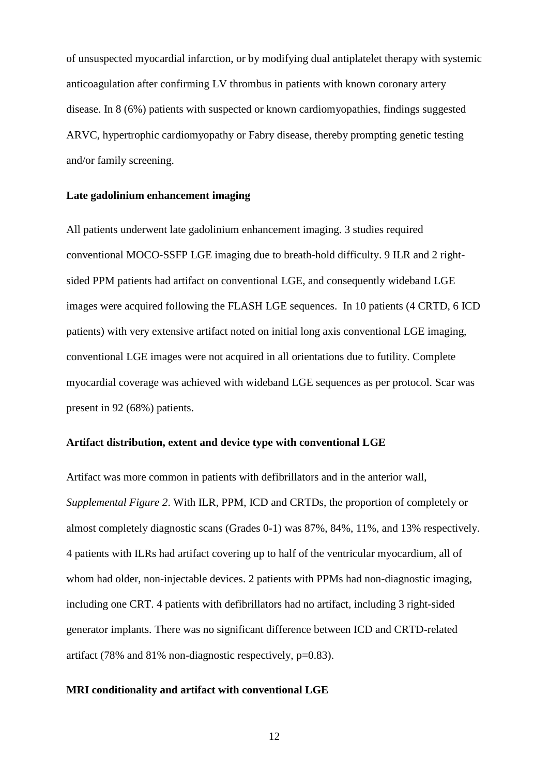of unsuspected myocardial infarction, or by modifying dual antiplatelet therapy with systemic anticoagulation after confirming LV thrombus in patients with known coronary artery disease. In 8 (6%) patients with suspected or known cardiomyopathies, findings suggested ARVC, hypertrophic cardiomyopathy or Fabry disease, thereby prompting genetic testing and/or family screening.

# **Late gadolinium enhancement imaging**

All patients underwent late gadolinium enhancement imaging. 3 studies required conventional MOCO-SSFP LGE imaging due to breath-hold difficulty. 9 ILR and 2 rightsided PPM patients had artifact on conventional LGE, and consequently wideband LGE images were acquired following the FLASH LGE sequences. In 10 patients (4 CRTD, 6 ICD patients) with very extensive artifact noted on initial long axis conventional LGE imaging, conventional LGE images were not acquired in all orientations due to futility. Complete myocardial coverage was achieved with wideband LGE sequences as per protocol. Scar was present in 92 (68%) patients.

# **Artifact distribution, extent and device type with conventional LGE**

Artifact was more common in patients with defibrillators and in the anterior wall, *Supplemental Figure 2*. With ILR, PPM, ICD and CRTDs, the proportion of completely or almost completely diagnostic scans (Grades 0-1) was 87%, 84%, 11%, and 13% respectively. 4 patients with ILRs had artifact covering up to half of the ventricular myocardium, all of whom had older, non-injectable devices. 2 patients with PPMs had non-diagnostic imaging, including one CRT. 4 patients with defibrillators had no artifact, including 3 right-sided generator implants. There was no significant difference between ICD and CRTD-related artifact (78% and 81% non-diagnostic respectively, p=0.83).

#### **MRI conditionality and artifact with conventional LGE**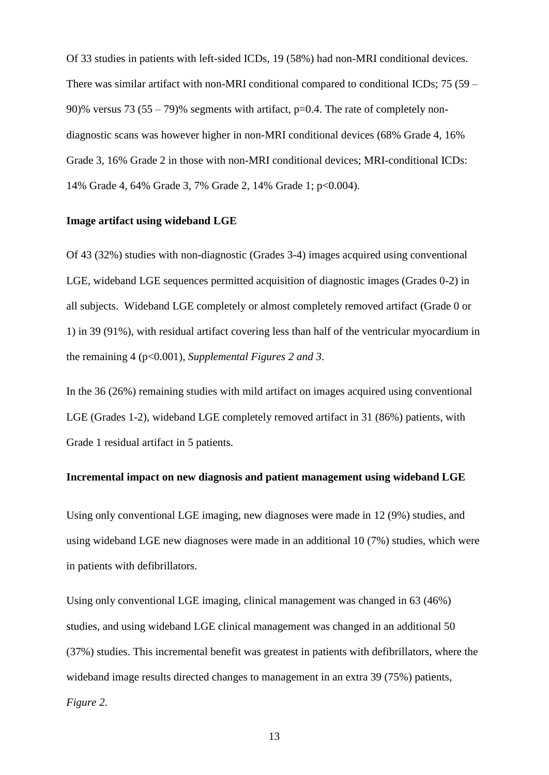Of 33 studies in patients with left-sided ICDs, 19 (58%) had non-MRI conditional devices. There was similar artifact with non-MRI conditional compared to conditional ICDs; 75 (59 – 90)% versus 73 (55 – 79)% segments with artifact,  $p=0.4$ . The rate of completely nondiagnostic scans was however higher in non-MRI conditional devices (68% Grade 4, 16% Grade 3, 16% Grade 2 in those with non-MRI conditional devices; MRI-conditional ICDs: 14% Grade 4, 64% Grade 3, 7% Grade 2, 14% Grade 1; p<0.004).

# **Image artifact using wideband LGE**

Of 43 (32%) studies with non-diagnostic (Grades 3-4) images acquired using conventional LGE, wideband LGE sequences permitted acquisition of diagnostic images (Grades 0-2) in all subjects. Wideband LGE completely or almost completely removed artifact (Grade 0 or 1) in 39 (91%), with residual artifact covering less than half of the ventricular myocardium in the remaining 4 (p<0.001), *Supplemental Figures 2 and 3*.

In the 36 (26%) remaining studies with mild artifact on images acquired using conventional LGE (Grades 1-2), wideband LGE completely removed artifact in 31 (86%) patients, with Grade 1 residual artifact in 5 patients.

# **Incremental impact on new diagnosis and patient management using wideband LGE**

Using only conventional LGE imaging, new diagnoses were made in 12 (9%) studies, and using wideband LGE new diagnoses were made in an additional 10 (7%) studies, which were in patients with defibrillators.

Using only conventional LGE imaging, clinical management was changed in 63 (46%) studies, and using wideband LGE clinical management was changed in an additional 50 (37%) studies. This incremental benefit was greatest in patients with defibrillators, where the wideband image results directed changes to management in an extra 39 (75%) patients, *Figure 2*.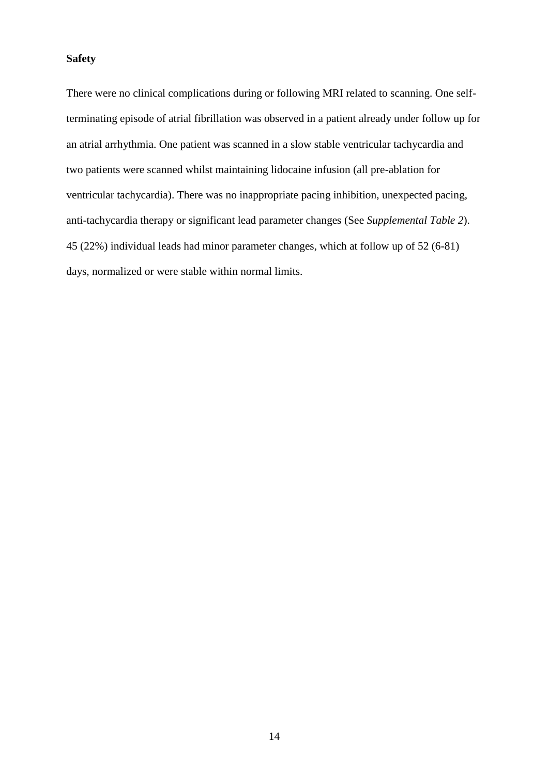# **Safety**

There were no clinical complications during or following MRI related to scanning. One selfterminating episode of atrial fibrillation was observed in a patient already under follow up for an atrial arrhythmia. One patient was scanned in a slow stable ventricular tachycardia and two patients were scanned whilst maintaining lidocaine infusion (all pre-ablation for ventricular tachycardia). There was no inappropriate pacing inhibition, unexpected pacing, anti-tachycardia therapy or significant lead parameter changes (See *Supplemental Table 2*). 45 (22%) individual leads had minor parameter changes, which at follow up of 52 (6-81) days, normalized or were stable within normal limits.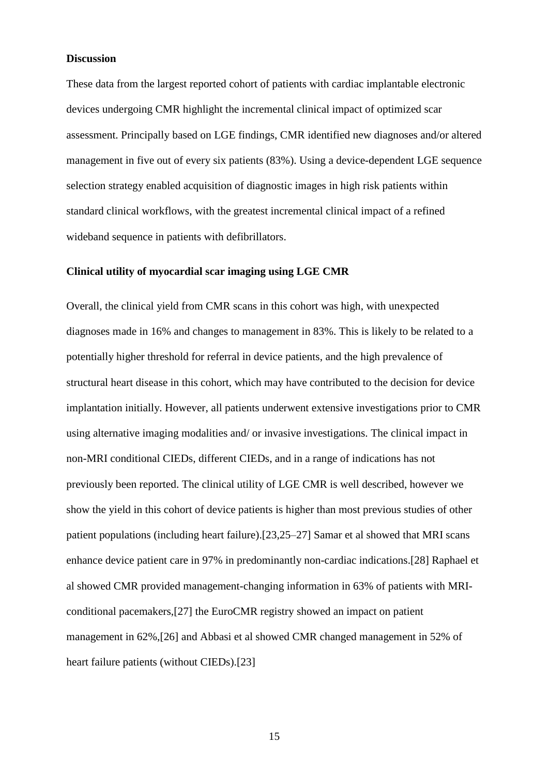#### **Discussion**

These data from the largest reported cohort of patients with cardiac implantable electronic devices undergoing CMR highlight the incremental clinical impact of optimized scar assessment. Principally based on LGE findings, CMR identified new diagnoses and/or altered management in five out of every six patients (83%). Using a device-dependent LGE sequence selection strategy enabled acquisition of diagnostic images in high risk patients within standard clinical workflows, with the greatest incremental clinical impact of a refined wideband sequence in patients with defibrillators.

# **Clinical utility of myocardial scar imaging using LGE CMR**

Overall, the clinical yield from CMR scans in this cohort was high, with unexpected diagnoses made in 16% and changes to management in 83%. This is likely to be related to a potentially higher threshold for referral in device patients, and the high prevalence of structural heart disease in this cohort, which may have contributed to the decision for device implantation initially. However, all patients underwent extensive investigations prior to CMR using alternative imaging modalities and/ or invasive investigations. The clinical impact in non-MRI conditional CIEDs, different CIEDs, and in a range of indications has not previously been reported. The clinical utility of LGE CMR is well described, however we show the yield in this cohort of device patients is higher than most previous studies of other patient populations (including heart failure).[23,25–27] Samar et al showed that MRI scans enhance device patient care in 97% in predominantly non-cardiac indications.[28] Raphael et al showed CMR provided management-changing information in 63% of patients with MRIconditional pacemakers,[27] the EuroCMR registry showed an impact on patient management in 62%,[26] and Abbasi et al showed CMR changed management in 52% of heart failure patients (without CIEDs).[23]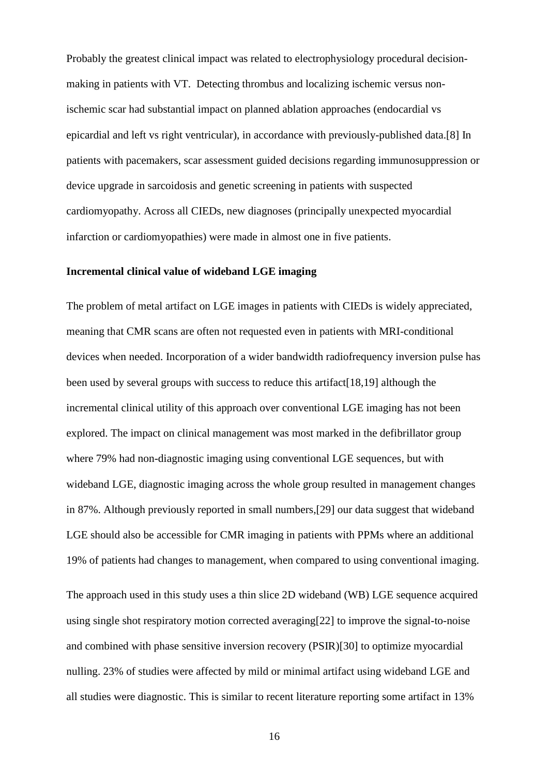Probably the greatest clinical impact was related to electrophysiology procedural decisionmaking in patients with VT. Detecting thrombus and localizing ischemic versus nonischemic scar had substantial impact on planned ablation approaches (endocardial vs epicardial and left vs right ventricular), in accordance with previously-published data.[8] In patients with pacemakers, scar assessment guided decisions regarding immunosuppression or device upgrade in sarcoidosis and genetic screening in patients with suspected cardiomyopathy. Across all CIEDs, new diagnoses (principally unexpected myocardial infarction or cardiomyopathies) were made in almost one in five patients.

#### **Incremental clinical value of wideband LGE imaging**

The problem of metal artifact on LGE images in patients with CIEDs is widely appreciated, meaning that CMR scans are often not requested even in patients with MRI-conditional devices when needed. Incorporation of a wider bandwidth radiofrequency inversion pulse has been used by several groups with success to reduce this artifact[18,19] although the incremental clinical utility of this approach over conventional LGE imaging has not been explored. The impact on clinical management was most marked in the defibrillator group where 79% had non-diagnostic imaging using conventional LGE sequences, but with wideband LGE, diagnostic imaging across the whole group resulted in management changes in 87%. Although previously reported in small numbers,[29] our data suggest that wideband LGE should also be accessible for CMR imaging in patients with PPMs where an additional 19% of patients had changes to management, when compared to using conventional imaging.

The approach used in this study uses a thin slice 2D wideband (WB) LGE sequence acquired using single shot respiratory motion corrected averaging[22] to improve the signal-to-noise and combined with phase sensitive inversion recovery (PSIR)[30] to optimize myocardial nulling. 23% of studies were affected by mild or minimal artifact using wideband LGE and all studies were diagnostic. This is similar to recent literature reporting some artifact in 13%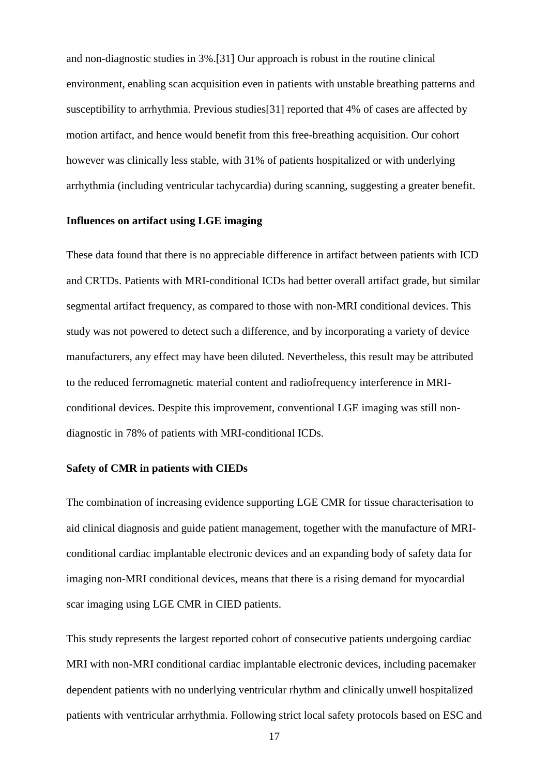and non-diagnostic studies in 3%.[31] Our approach is robust in the routine clinical environment, enabling scan acquisition even in patients with unstable breathing patterns and susceptibility to arrhythmia. Previous studies[31] reported that 4% of cases are affected by motion artifact, and hence would benefit from this free-breathing acquisition. Our cohort however was clinically less stable, with 31% of patients hospitalized or with underlying arrhythmia (including ventricular tachycardia) during scanning, suggesting a greater benefit.

#### **Influences on artifact using LGE imaging**

These data found that there is no appreciable difference in artifact between patients with ICD and CRTDs. Patients with MRI-conditional ICDs had better overall artifact grade, but similar segmental artifact frequency, as compared to those with non-MRI conditional devices. This study was not powered to detect such a difference, and by incorporating a variety of device manufacturers, any effect may have been diluted. Nevertheless, this result may be attributed to the reduced ferromagnetic material content and radiofrequency interference in MRIconditional devices. Despite this improvement, conventional LGE imaging was still nondiagnostic in 78% of patients with MRI-conditional ICDs.

#### **Safety of CMR in patients with CIEDs**

The combination of increasing evidence supporting LGE CMR for tissue characterisation to aid clinical diagnosis and guide patient management, together with the manufacture of MRIconditional cardiac implantable electronic devices and an expanding body of safety data for imaging non-MRI conditional devices, means that there is a rising demand for myocardial scar imaging using LGE CMR in CIED patients.

This study represents the largest reported cohort of consecutive patients undergoing cardiac MRI with non-MRI conditional cardiac implantable electronic devices, including pacemaker dependent patients with no underlying ventricular rhythm and clinically unwell hospitalized patients with ventricular arrhythmia. Following strict local safety protocols based on ESC and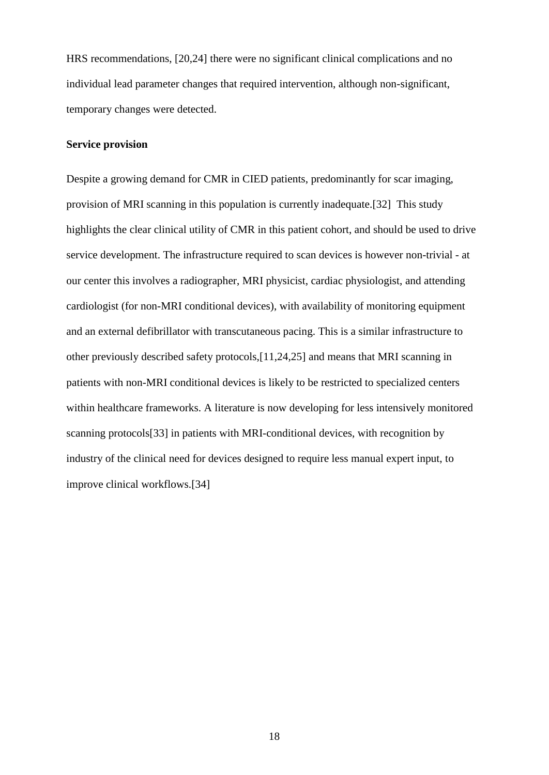HRS recommendations, [20,24] there were no significant clinical complications and no individual lead parameter changes that required intervention, although non-significant, temporary changes were detected.

# **Service provision**

Despite a growing demand for CMR in CIED patients, predominantly for scar imaging, provision of MRI scanning in this population is currently inadequate.[32] This study highlights the clear clinical utility of CMR in this patient cohort, and should be used to drive service development. The infrastructure required to scan devices is however non-trivial - at our center this involves a radiographer, MRI physicist, cardiac physiologist, and attending cardiologist (for non-MRI conditional devices), with availability of monitoring equipment and an external defibrillator with transcutaneous pacing. This is a similar infrastructure to other previously described safety protocols,[11,24,25] and means that MRI scanning in patients with non-MRI conditional devices is likely to be restricted to specialized centers within healthcare frameworks. A literature is now developing for less intensively monitored scanning protocols[33] in patients with MRI-conditional devices, with recognition by industry of the clinical need for devices designed to require less manual expert input, to improve clinical workflows.[34]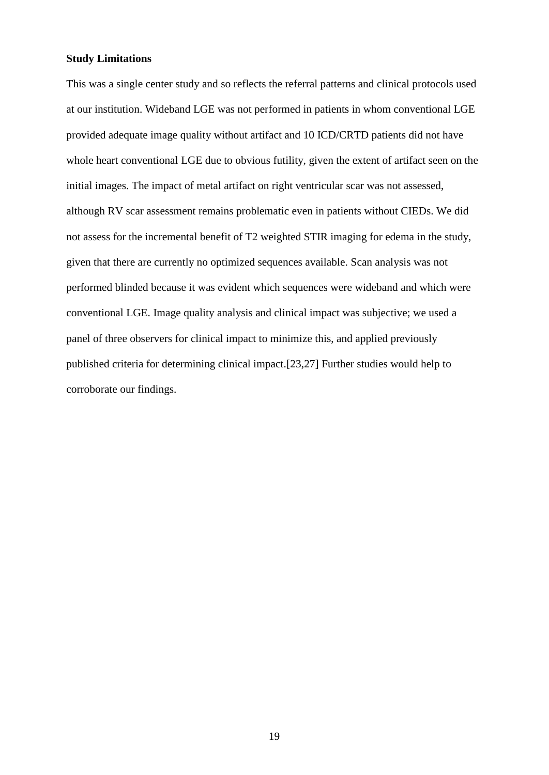# **Study Limitations**

This was a single center study and so reflects the referral patterns and clinical protocols used at our institution. Wideband LGE was not performed in patients in whom conventional LGE provided adequate image quality without artifact and 10 ICD/CRTD patients did not have whole heart conventional LGE due to obvious futility, given the extent of artifact seen on the initial images. The impact of metal artifact on right ventricular scar was not assessed, although RV scar assessment remains problematic even in patients without CIEDs. We did not assess for the incremental benefit of T2 weighted STIR imaging for edema in the study, given that there are currently no optimized sequences available. Scan analysis was not performed blinded because it was evident which sequences were wideband and which were conventional LGE. Image quality analysis and clinical impact was subjective; we used a panel of three observers for clinical impact to minimize this, and applied previously published criteria for determining clinical impact.[23,27] Further studies would help to corroborate our findings.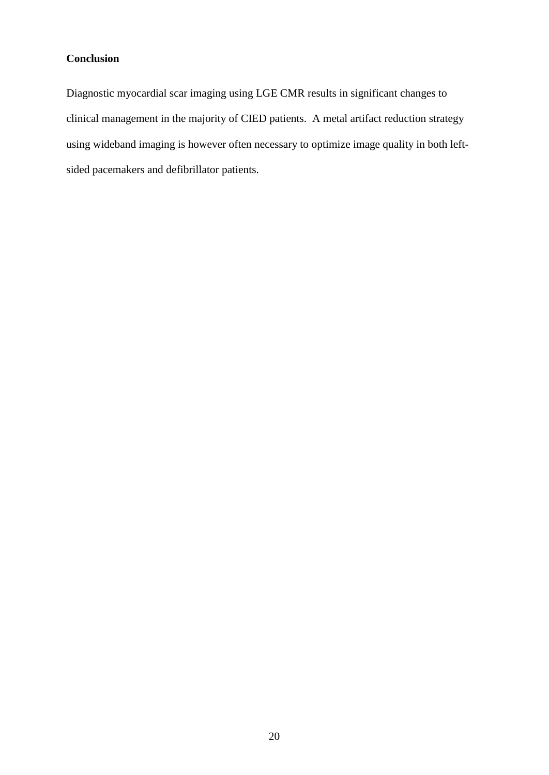# **Conclusion**

Diagnostic myocardial scar imaging using LGE CMR results in significant changes to clinical management in the majority of CIED patients. A metal artifact reduction strategy using wideband imaging is however often necessary to optimize image quality in both leftsided pacemakers and defibrillator patients.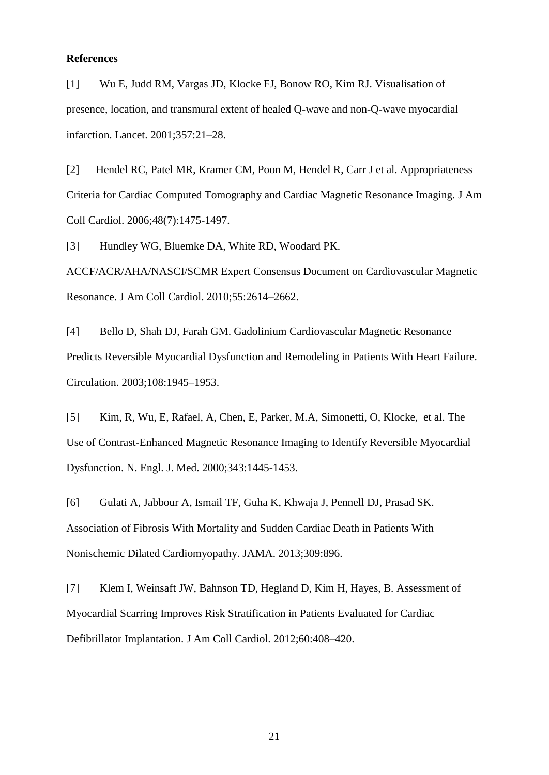# **References**

[1] Wu E, Judd RM, Vargas JD, Klocke FJ, Bonow RO, Kim RJ. Visualisation of presence, location, and transmural extent of healed Q-wave and non-Q-wave myocardial infarction. Lancet. 2001;357:21–28.

[2] Hendel RC, Patel MR, Kramer CM, Poon M, Hendel R, Carr J et al. Appropriateness Criteria for Cardiac Computed Tomography and Cardiac Magnetic Resonance Imaging. J Am Coll Cardiol. 2006;48(7):1475-1497.

[3] Hundley WG, Bluemke DA, White RD, Woodard PK.

ACCF/ACR/AHA/NASCI/SCMR Expert Consensus Document on Cardiovascular Magnetic Resonance. J Am Coll Cardiol. 2010;55:2614–2662.

[4] Bello D, Shah DJ, Farah GM. Gadolinium Cardiovascular Magnetic Resonance Predicts Reversible Myocardial Dysfunction and Remodeling in Patients With Heart Failure. Circulation. 2003;108:1945–1953.

[5] Kim, R, Wu, E, Rafael, A, Chen, E, Parker, M.A, Simonetti, O, Klocke, et al. The Use of Contrast-Enhanced Magnetic Resonance Imaging to Identify Reversible Myocardial Dysfunction. N. Engl. J. Med. 2000;343:1445-1453.

[6] Gulati A, Jabbour A, Ismail TF, Guha K, Khwaja J, Pennell DJ, Prasad SK. Association of Fibrosis With Mortality and Sudden Cardiac Death in Patients With Nonischemic Dilated Cardiomyopathy. JAMA. 2013;309:896.

[7] Klem I, Weinsaft JW, Bahnson TD, Hegland D, Kim H, Hayes, B. Assessment of Myocardial Scarring Improves Risk Stratification in Patients Evaluated for Cardiac Defibrillator Implantation. J Am Coll Cardiol. 2012;60:408–420.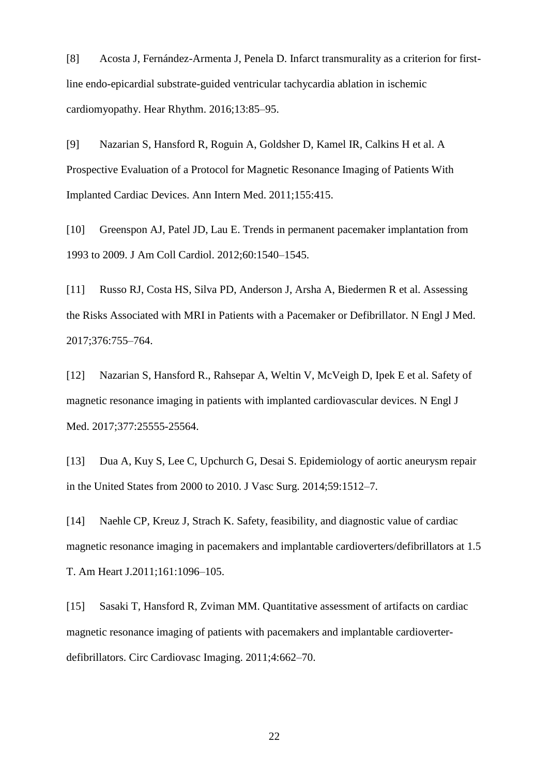[8] Acosta J, Fernández-Armenta J, Penela D. Infarct transmurality as a criterion for firstline endo-epicardial substrate-guided ventricular tachycardia ablation in ischemic cardiomyopathy. Hear Rhythm. 2016;13:85–95.

[9] Nazarian S, Hansford R, Roguin A, Goldsher D, Kamel IR, Calkins H et al. A Prospective Evaluation of a Protocol for Magnetic Resonance Imaging of Patients With Implanted Cardiac Devices. Ann Intern Med. 2011;155:415.

[10] Greenspon AJ, Patel JD, Lau E. Trends in permanent pacemaker implantation from 1993 to 2009. J Am Coll Cardiol. 2012;60:1540–1545.

[11] Russo RJ, Costa HS, Silva PD, Anderson J, Arsha A, Biedermen R et al. Assessing the Risks Associated with MRI in Patients with a Pacemaker or Defibrillator. N Engl J Med. 2017;376:755–764.

[12] Nazarian S, Hansford R., Rahsepar A, Weltin V, McVeigh D, Ipek E et al. Safety of magnetic resonance imaging in patients with implanted cardiovascular devices. N Engl J Med. 2017;377:25555-25564.

[13] Dua A, Kuy S, Lee C, Upchurch G, Desai S. Epidemiology of aortic aneurysm repair in the United States from 2000 to 2010. J Vasc Surg. 2014;59:1512–7.

[14] Naehle CP, Kreuz J, Strach K. Safety, feasibility, and diagnostic value of cardiac magnetic resonance imaging in pacemakers and implantable cardioverters/defibrillators at 1.5 T. Am Heart J.2011;161:1096–105.

[15] Sasaki T, Hansford R, Zviman MM. Quantitative assessment of artifacts on cardiac magnetic resonance imaging of patients with pacemakers and implantable cardioverterdefibrillators. Circ Cardiovasc Imaging. 2011;4:662–70.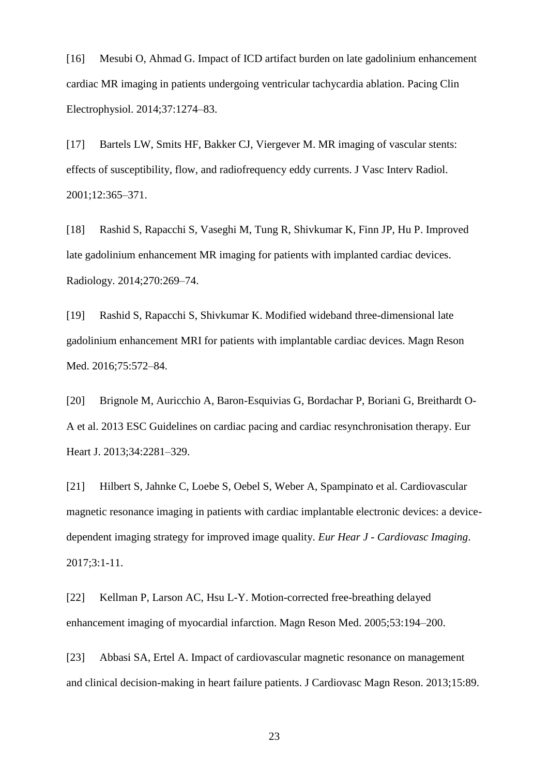[16] Mesubi O, Ahmad G. Impact of ICD artifact burden on late gadolinium enhancement cardiac MR imaging in patients undergoing ventricular tachycardia ablation. Pacing Clin Electrophysiol. 2014;37:1274–83.

[17] Bartels LW, Smits HF, Bakker CJ, Viergever M. MR imaging of vascular stents: effects of susceptibility, flow, and radiofrequency eddy currents. J Vasc Interv Radiol. 2001;12:365–371.

[18] Rashid S, Rapacchi S, Vaseghi M, Tung R, Shivkumar K, Finn JP, Hu P. Improved late gadolinium enhancement MR imaging for patients with implanted cardiac devices. Radiology. 2014;270:269–74.

[19] Rashid S, Rapacchi S, Shivkumar K. Modified wideband three-dimensional late gadolinium enhancement MRI for patients with implantable cardiac devices. Magn Reson Med. 2016;75:572–84.

[20] Brignole M, Auricchio A, Baron-Esquivias G, Bordachar P, Boriani G, Breithardt O-A et al. 2013 ESC Guidelines on cardiac pacing and cardiac resynchronisation therapy. Eur Heart J. 2013;34:2281–329.

[21] Hilbert S, Jahnke C, Loebe S, Oebel S, Weber A, Spampinato et al. Cardiovascular magnetic resonance imaging in patients with cardiac implantable electronic devices: a devicedependent imaging strategy for improved image quality. *Eur Hear J - Cardiovasc Imaging*. 2017;3:1-11.

[22] Kellman P, Larson AC, Hsu L-Y. Motion-corrected free-breathing delayed enhancement imaging of myocardial infarction. Magn Reson Med. 2005;53:194–200.

[23] Abbasi SA, Ertel A. Impact of cardiovascular magnetic resonance on management and clinical decision-making in heart failure patients. J Cardiovasc Magn Reson. 2013;15:89.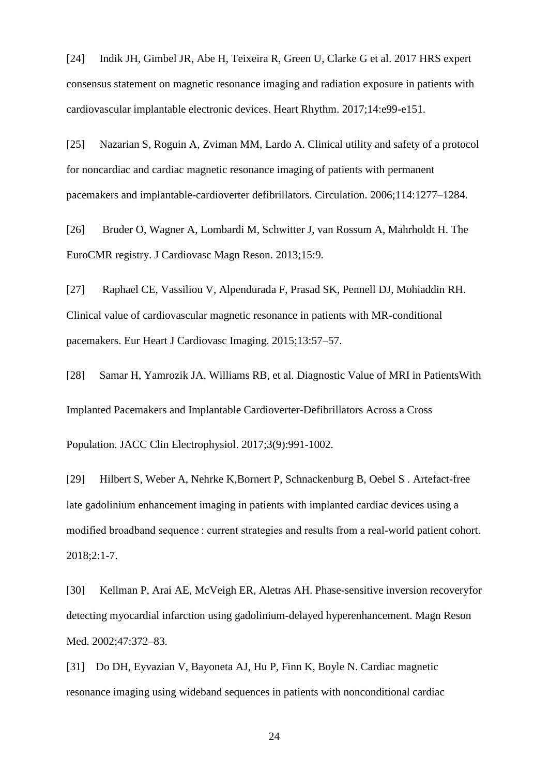[24] Indik JH, Gimbel JR, Abe H, Teixeira R, Green U, Clarke G et al. 2017 HRS expert consensus statement on magnetic resonance imaging and radiation exposure in patients with cardiovascular implantable electronic devices. Heart Rhythm. 2017;14:e99-e151.

[25] Nazarian S, Roguin A, Zviman MM, Lardo A. Clinical utility and safety of a protocol for noncardiac and cardiac magnetic resonance imaging of patients with permanent pacemakers and implantable-cardioverter defibrillators. Circulation. 2006;114:1277–1284.

[26] Bruder O, Wagner A, Lombardi M, Schwitter J, van Rossum A, Mahrholdt H. The EuroCMR registry. J Cardiovasc Magn Reson. 2013;15:9.

[27] Raphael CE, Vassiliou V, Alpendurada F, Prasad SK, Pennell DJ, Mohiaddin RH. Clinical value of cardiovascular magnetic resonance in patients with MR-conditional pacemakers. Eur Heart J Cardiovasc Imaging. 2015;13:57–57.

[28] Samar H, Yamrozik JA, Williams RB, et al. Diagnostic Value of MRI in PatientsWith Implanted Pacemakers and Implantable Cardioverter-Defibrillators Across a Cross

Population. JACC Clin Electrophysiol. 2017;3(9):991-1002.

[29] Hilbert S, Weber A, Nehrke K,Bornert P, Schnackenburg B, Oebel S . Artefact-free late gadolinium enhancement imaging in patients with implanted cardiac devices using a modified broadband sequence : current strategies and results from a real-world patient cohort. 2018;2:1-7.

[30] Kellman P, Arai AE, McVeigh ER, Aletras AH. Phase-sensitive inversion recoveryfor detecting myocardial infarction using gadolinium-delayed hyperenhancement. Magn Reson Med. 2002;47:372–83.

[31] Do DH, Eyvazian V, Bayoneta AJ, Hu P, Finn K, Boyle N. Cardiac magnetic resonance imaging using wideband sequences in patients with nonconditional cardiac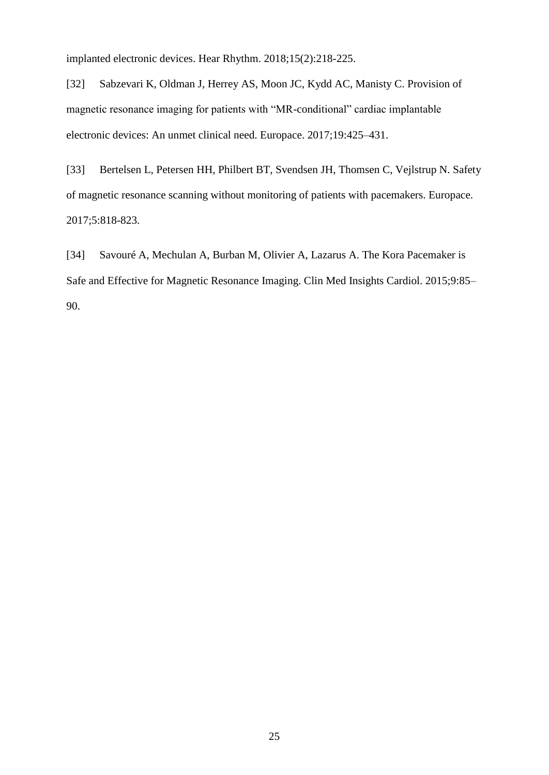implanted electronic devices. Hear Rhythm. 2018;15(2):218-225.

[32] Sabzevari K, Oldman J, Herrey AS, Moon JC, Kydd AC, Manisty C. Provision of magnetic resonance imaging for patients with "MR-conditional" cardiac implantable electronic devices: An unmet clinical need. Europace. 2017;19:425–431.

[33] Bertelsen L, Petersen HH, Philbert BT, Svendsen JH, Thomsen C, Vejlstrup N. Safety of magnetic resonance scanning without monitoring of patients with pacemakers. Europace. 2017;5:818-823.

[34] Savouré A, Mechulan A, Burban M, Olivier A, Lazarus A. The Kora Pacemaker is Safe and Effective for Magnetic Resonance Imaging. Clin Med Insights Cardiol. 2015;9:85– 90.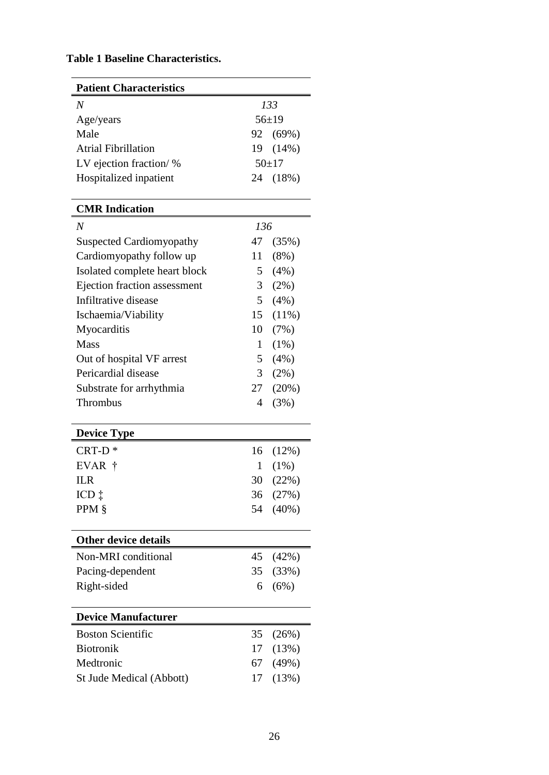# **Table 1 Baseline Characteristics.**

| <b>Patient Characteristics</b>  |                |          |  |  |  |
|---------------------------------|----------------|----------|--|--|--|
| N                               | 133            |          |  |  |  |
| Age/years                       | $56 \pm 19$    |          |  |  |  |
| Male                            |                | 92 (69%) |  |  |  |
| <b>Atrial Fibrillation</b>      |                | 19 (14%) |  |  |  |
| LV ejection fraction/%          |                | $50+17$  |  |  |  |
| Hospitalized inpatient          |                | 24 (18%) |  |  |  |
| <b>CMR</b> Indication           |                |          |  |  |  |
| N                               | 136            |          |  |  |  |
| <b>Suspected Cardiomyopathy</b> | 47             | (35%)    |  |  |  |
| Cardiomyopathy follow up        | 11             | $(8\%)$  |  |  |  |
| Isolated complete heart block   | 5              | $(4\%)$  |  |  |  |
| Ejection fraction assessment    | $\mathfrak{Z}$ | (2%)     |  |  |  |
| Infiltrative disease            | 5              | (4%)     |  |  |  |
| Ischaemia/Viability             | 15             | $(11\%)$ |  |  |  |
| Myocarditis                     | 10             | (7%)     |  |  |  |
| <b>Mass</b>                     | 1              | $(1\%)$  |  |  |  |
| Out of hospital VF arrest       | 5              | $(4\%)$  |  |  |  |
| Pericardial disease             | 3              | (2%)     |  |  |  |
| Substrate for arrhythmia        | 27             | (20%)    |  |  |  |
| Thrombus                        | 4              | (3%)     |  |  |  |
| <b>Device Type</b>              |                |          |  |  |  |
| $CRT-D*$                        | 16             | (12%)    |  |  |  |
| EVAR †                          | 1              | $(1\%)$  |  |  |  |
| <b>ILR</b>                      | 30             | (22%)    |  |  |  |
| ICD ‡                           | 36             | (27%)    |  |  |  |
| PPM §                           |                | 54 (40%) |  |  |  |
| <b>Other device details</b>     |                |          |  |  |  |
| Non-MRI conditional             | 45             | (42%)    |  |  |  |
| Pacing-dependent                |                | 35 (33%) |  |  |  |
| Right-sided                     | 6              | (6%)     |  |  |  |
| <b>Device Manufacturer</b>      |                |          |  |  |  |
| <b>Boston Scientific</b>        | 35             | (26%)    |  |  |  |
| <b>Biotronik</b>                | 17             | (13%)    |  |  |  |
| Medtronic                       | 67             | (49%)    |  |  |  |
| St Jude Medical (Abbott)        | 17             | (13%)    |  |  |  |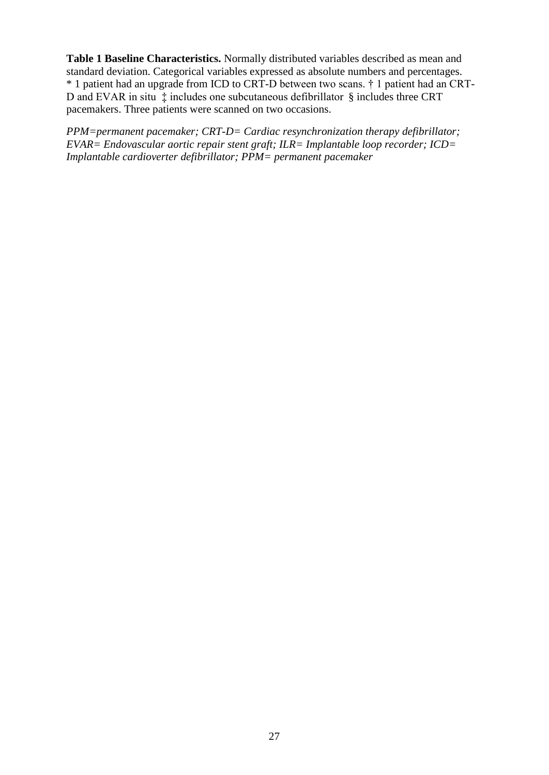**Table 1 Baseline Characteristics.** Normally distributed variables described as mean and standard deviation. Categorical variables expressed as absolute numbers and percentages. \* 1 patient had an upgrade from ICD to CRT-D between two scans. † 1 patient had an CRT-D and EVAR in situ ‡ includes one subcutaneous defibrillator § includes three CRT pacemakers. Three patients were scanned on two occasions.

*PPM=permanent pacemaker; CRT-D= Cardiac resynchronization therapy defibrillator; EVAR= Endovascular aortic repair stent graft; ILR= Implantable loop recorder; ICD= Implantable cardioverter defibrillator; PPM= permanent pacemaker*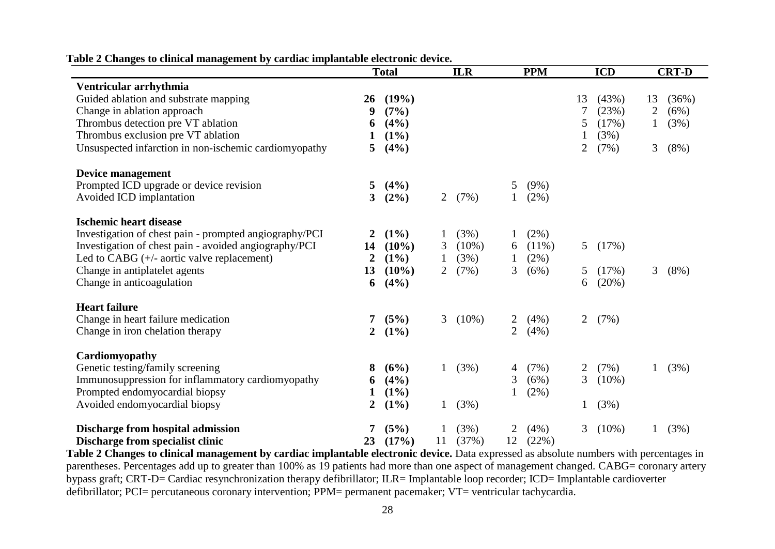|                                                        | <b>Total</b>   |          |                | <b>ILR</b> |                | <b>PPM</b><br><b>ICD</b> |                |          | <b>CRT-D</b> |         |
|--------------------------------------------------------|----------------|----------|----------------|------------|----------------|--------------------------|----------------|----------|--------------|---------|
| Ventricular arrhythmia                                 |                |          |                |            |                |                          |                |          |              |         |
| Guided ablation and substrate mapping                  | 26             | (19%)    |                |            |                |                          | 13             | (43%)    | 13           | (36%)   |
| Change in ablation approach                            | 9              | (7%)     |                |            |                |                          |                | (23%)    | 2            | (6%)    |
| Thrombus detection pre VT ablation                     | 6              | (4%)     |                |            |                |                          | 5              | (17%)    |              | (3%)    |
| Thrombus exclusion pre VT ablation                     |                | $(1\%)$  |                |            |                |                          |                | (3%)     |              |         |
| Unsuspected infarction in non-ischemic cardiomyopathy  | 5              | (4%)     |                |            |                |                          | 2              | (7%)     | 3            | $(8\%)$ |
| Device management                                      |                |          |                |            |                |                          |                |          |              |         |
| Prompted ICD upgrade or device revision                | 5              | (4%)     |                |            | 5              | $(9\%)$                  |                |          |              |         |
| Avoided ICD implantation                               | 3              | $(2\%)$  | 2              | (7%)       |                | (2%)                     |                |          |              |         |
| <b>Ischemic heart disease</b>                          |                |          |                |            |                |                          |                |          |              |         |
| Investigation of chest pain - prompted angiography/PCI | 2              | $(1\%)$  |                | (3%)       |                | $(2\%)$                  |                |          |              |         |
| Investigation of chest pain - avoided angiography/PCI  | 14             | $(10\%)$ | 3              | $(10\%)$   | 6              | $(11\%)$                 | 5 <sup>5</sup> | (17%)    |              |         |
| Led to CABG $(+/-$ aortic valve replacement)           | 2              | $(1\%)$  |                | (3%)       |                | (2%)                     |                |          |              |         |
| Change in antiplatelet agents                          | 13             | $(10\%)$ | $\overline{2}$ | (7%)       | 3              | (6%)                     | 5              | (17%)    | 3            | $(8\%)$ |
| Change in anticoagulation                              | 6              | (4%)     |                |            |                |                          | 6              | (20%)    |              |         |
| <b>Heart failure</b>                                   |                |          |                |            |                |                          |                |          |              |         |
| Change in heart failure medication                     | 7              | (5%)     | 3              | $(10\%)$   | 2              | (4%)                     | $\overline{2}$ | (7%)     |              |         |
| Change in iron chelation therapy                       | $\overline{2}$ | $(1\%)$  |                |            | $\overline{2}$ | (4%)                     |                |          |              |         |
| Cardiomyopathy                                         |                |          |                |            |                |                          |                |          |              |         |
| Genetic testing/family screening                       | 8              | (6%)     |                | (3%)       | 4              | (7%)                     | 2              | (7%)     |              | (3%)    |
| Immunosuppression for inflammatory cardiomyopathy      | 6              | (4%)     |                |            | 3              | (6%)                     | 3              | $(10\%)$ |              |         |
| Prompted endomyocardial biopsy                         |                | $(1\%)$  |                |            |                | $(2\%)$                  |                |          |              |         |
| Avoided endomyocardial biopsy                          | $\overline{2}$ | $(1\%)$  |                | (3%)       |                |                          |                | (3%)     |              |         |
| Discharge from hospital admission                      |                | (5%)     |                | (3%)       |                | (4%)                     | 3              | $(10\%)$ |              | (3%)    |
| Discharge from specialist clinic                       | 23             | (17%)    | 11             | (37%)      | 12             | (22%)                    |                |          |              |         |

**Table 2 Changes to clinical management by cardiac implantable electronic device.**

**Table 2 Changes to clinical management by cardiac implantable electronic device.** Data expressed as absolute numbers with percentages in parentheses. Percentages add up to greater than 100% as 19 patients had more than one aspect of management changed. CABG= coronary artery bypass graft; CRT-D= Cardiac resynchronization therapy defibrillator; ILR= Implantable loop recorder; ICD= Implantable cardioverter defibrillator; PCI= percutaneous coronary intervention; PPM= permanent pacemaker; VT= ventricular tachycardia.